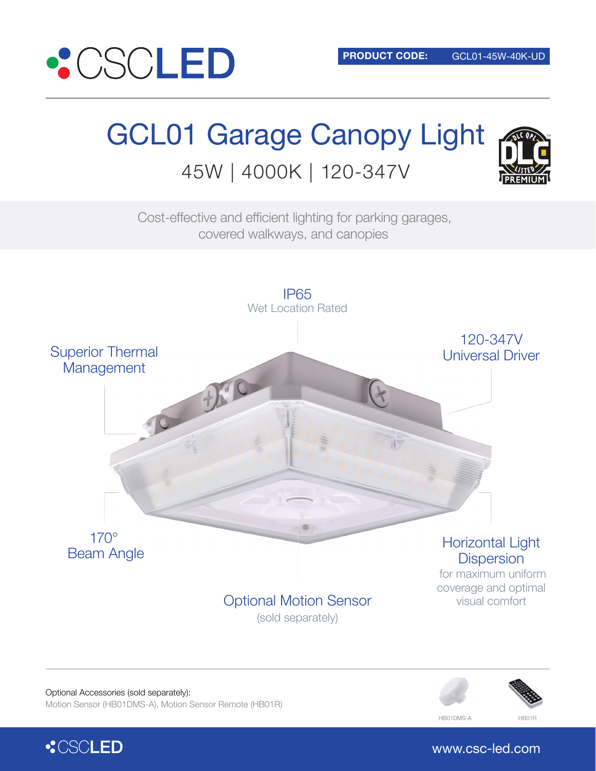

# GCL01 Garage Canopy Light 45W | 4000K | 120-347V



Cost-effective and efficient lighting for parking garages, covered walkways, and canopies



Optional Accessories (sold separately): Motion Sensor (HB01DMS-A), Motion Sensor Remote (HB01R)



**:CSCLED** 

www.csc-led.com